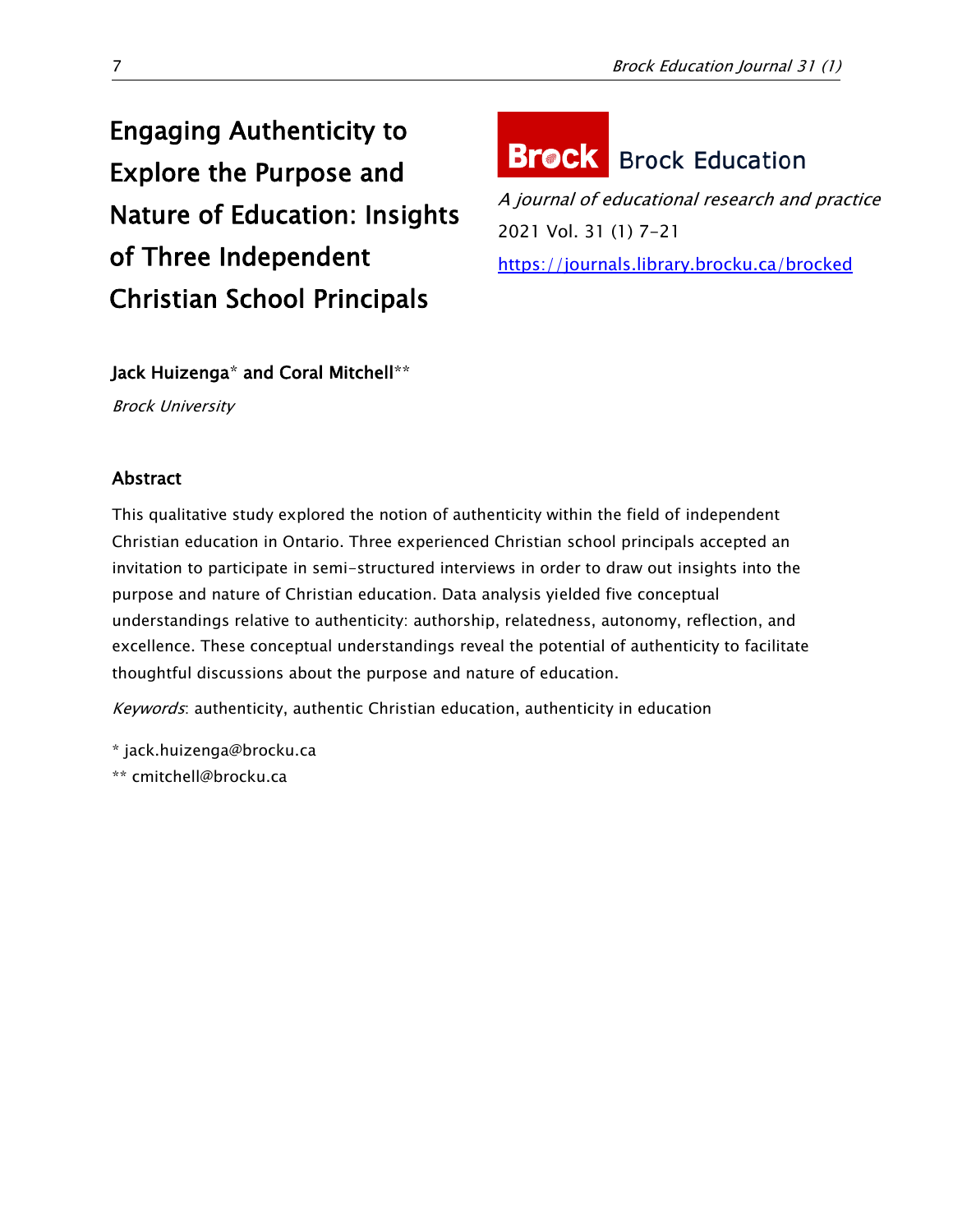# Engaging Authenticity to Explore the Purpose and Nature of Education: Insights of Three Independent Christian School Principals



A journal of educational research and practice 2021 Vol. 31 (1) 7-21 <https://journals.library.brocku.ca/brocked>

# Jack Huizenga\* and Coral Mitchell\*\*

Brock University

# Abstract

This qualitative study explored the notion of authenticity within the field of independent Christian education in Ontario. Three experienced Christian school principals accepted an invitation to participate in semi-structured interviews in order to draw out insights into the purpose and nature of Christian education. Data analysis yielded five conceptual understandings relative to authenticity: authorship, relatedness, autonomy, reflection, and excellence. These conceptual understandings reveal the potential of authenticity to facilitate thoughtful discussions about the purpose and nature of education.

Keywords: authenticity, authentic Christian education, authenticity in education

\* jack.huizenga@brocku.ca

\*\* cmitchell@brocku.ca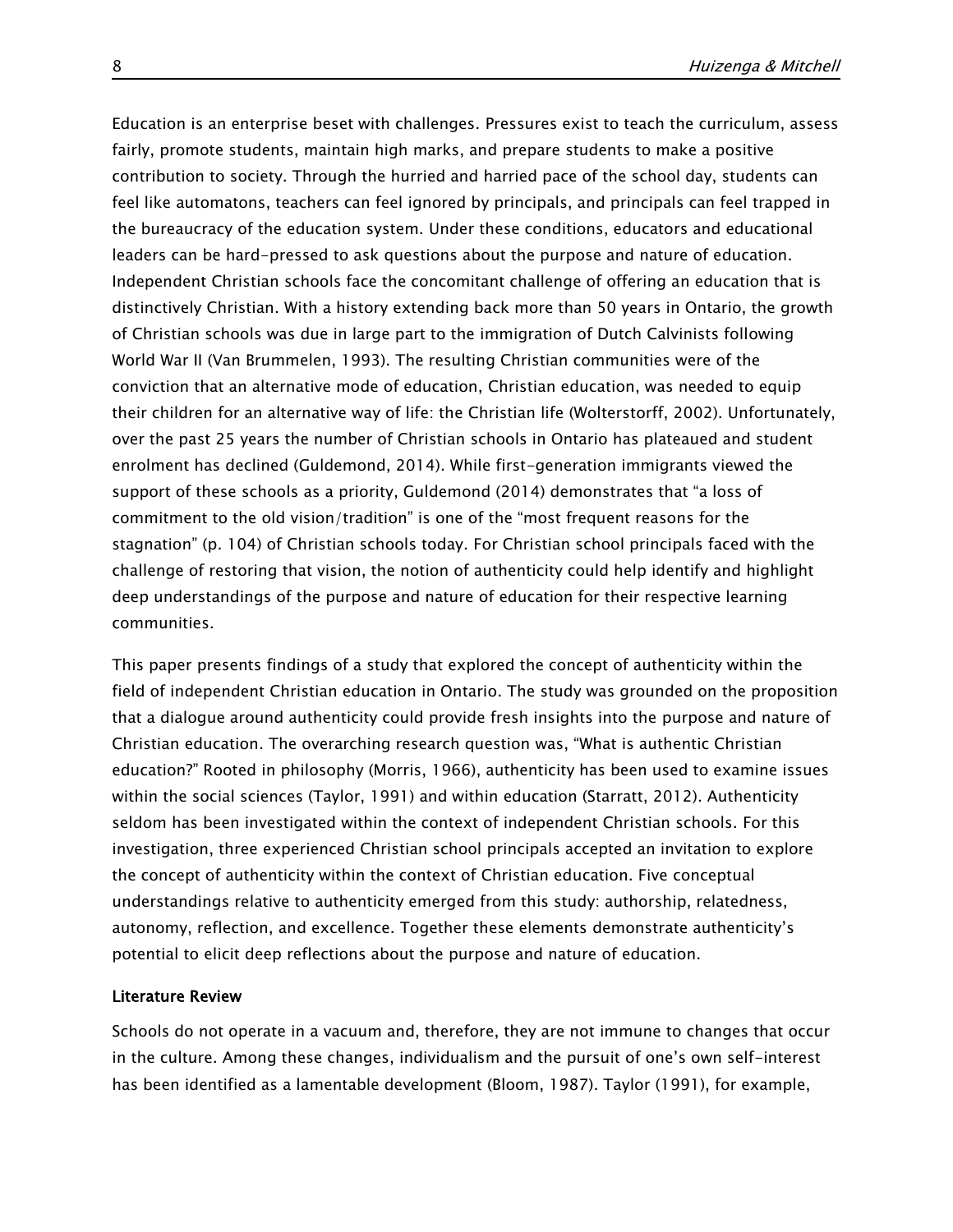Education is an enterprise beset with challenges. Pressures exist to teach the curriculum, assess fairly, promote students, maintain high marks, and prepare students to make a positive contribution to society. Through the hurried and harried pace of the school day, students can feel like automatons, teachers can feel ignored by principals, and principals can feel trapped in the bureaucracy of the education system. Under these conditions, educators and educational leaders can be hard-pressed to ask questions about the purpose and nature of education. Independent Christian schools face the concomitant challenge of offering an education that is distinctively Christian. With a history extending back more than 50 years in Ontario, the growth of Christian schools was due in large part to the immigration of Dutch Calvinists following World War II (Van Brummelen, 1993). The resulting Christian communities were of the conviction that an alternative mode of education, Christian education, was needed to equip their children for an alternative way of life: the Christian life (Wolterstorff, 2002). Unfortunately, over the past 25 years the number of Christian schools in Ontario has plateaued and student enrolment has declined (Guldemond, 2014). While first-generation immigrants viewed the support of these schools as a priority, Guldemond (2014) demonstrates that "a loss of commitment to the old vision/tradition" is one of the "most frequent reasons for the stagnation" (p. 104) of Christian schools today. For Christian school principals faced with the challenge of restoring that vision, the notion of authenticity could help identify and highlight deep understandings of the purpose and nature of education for their respective learning communities.

This paper presents findings of a study that explored the concept of authenticity within the field of independent Christian education in Ontario. The study was grounded on the proposition that a dialogue around authenticity could provide fresh insights into the purpose and nature of Christian education. The overarching research question was, "What is authentic Christian education?" Rooted in philosophy (Morris, 1966), authenticity has been used to examine issues within the social sciences (Taylor, 1991) and within education (Starratt, 2012). Authenticity seldom has been investigated within the context of independent Christian schools. For this investigation, three experienced Christian school principals accepted an invitation to explore the concept of authenticity within the context of Christian education. Five conceptual understandings relative to authenticity emerged from this study: authorship, relatedness, autonomy, reflection, and excellence. Together these elements demonstrate authenticity's potential to elicit deep reflections about the purpose and nature of education.

# Literature Review

Schools do not operate in a vacuum and, therefore, they are not immune to changes that occur in the culture. Among these changes, individualism and the pursuit of one's own self-interest has been identified as a lamentable development (Bloom, 1987). Taylor (1991), for example,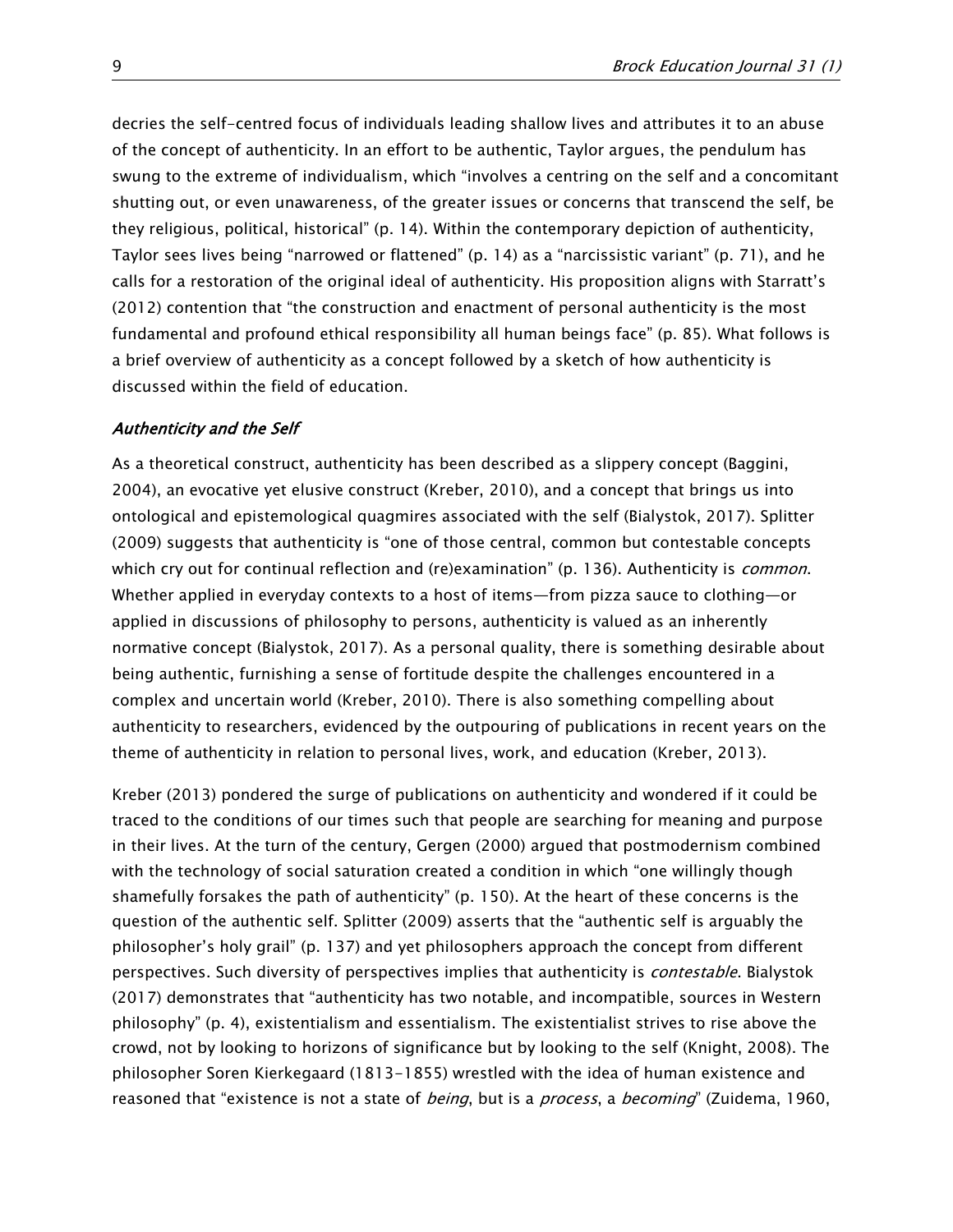decries the self-centred focus of individuals leading shallow lives and attributes it to an abuse of the concept of authenticity. In an effort to be authentic, Taylor argues, the pendulum has swung to the extreme of individualism, which "involves a centring on the self and a concomitant shutting out, or even unawareness, of the greater issues or concerns that transcend the self, be they religious, political, historical" (p. 14). Within the contemporary depiction of authenticity, Taylor sees lives being "narrowed or flattened" (p. 14) as a "narcissistic variant" (p. 71), and he calls for a restoration of the original ideal of authenticity. His proposition aligns with Starratt's (2012) contention that "the construction and enactment of personal authenticity is the most fundamental and profound ethical responsibility all human beings face" (p. 85). What follows is a brief overview of authenticity as a concept followed by a sketch of how authenticity is discussed within the field of education.

#### Authenticity and the Self

As a theoretical construct, authenticity has been described as a slippery concept (Baggini, 2004), an evocative yet elusive construct (Kreber, 2010), and a concept that brings us into ontological and epistemological quagmires associated with the self (Bialystok, 2017). Splitter (2009) suggests that authenticity is "one of those central, common but contestable concepts which cry out for continual reflection and (re)examination" (p. 136). Authenticity is *common*. Whether applied in everyday contexts to a host of items—from pizza sauce to clothing—or applied in discussions of philosophy to persons, authenticity is valued as an inherently normative concept (Bialystok, 2017). As a personal quality, there is something desirable about being authentic, furnishing a sense of fortitude despite the challenges encountered in a complex and uncertain world (Kreber, 2010). There is also something compelling about authenticity to researchers, evidenced by the outpouring of publications in recent years on the theme of authenticity in relation to personal lives, work, and education (Kreber, 2013).

Kreber (2013) pondered the surge of publications on authenticity and wondered if it could be traced to the conditions of our times such that people are searching for meaning and purpose in their lives. At the turn of the century, Gergen (2000) argued that postmodernism combined with the technology of social saturation created a condition in which "one willingly though shamefully forsakes the path of authenticity" (p. 150). At the heart of these concerns is the question of the authentic self. Splitter (2009) asserts that the "authentic self is arguably the philosopher's holy grail" (p. 137) and yet philosophers approach the concept from different perspectives. Such diversity of perspectives implies that authenticity is *contestable*. Bialystok (2017) demonstrates that "authenticity has two notable, and incompatible, sources in Western philosophy" (p. 4), existentialism and essentialism. The existentialist strives to rise above the crowd, not by looking to horizons of significance but by looking to the self (Knight, 2008). The philosopher Soren Kierkegaard (1813-1855) wrestled with the idea of human existence and reasoned that "existence is not a state of *being*, but is a *process*, a *becoming*" (Zuidema, 1960,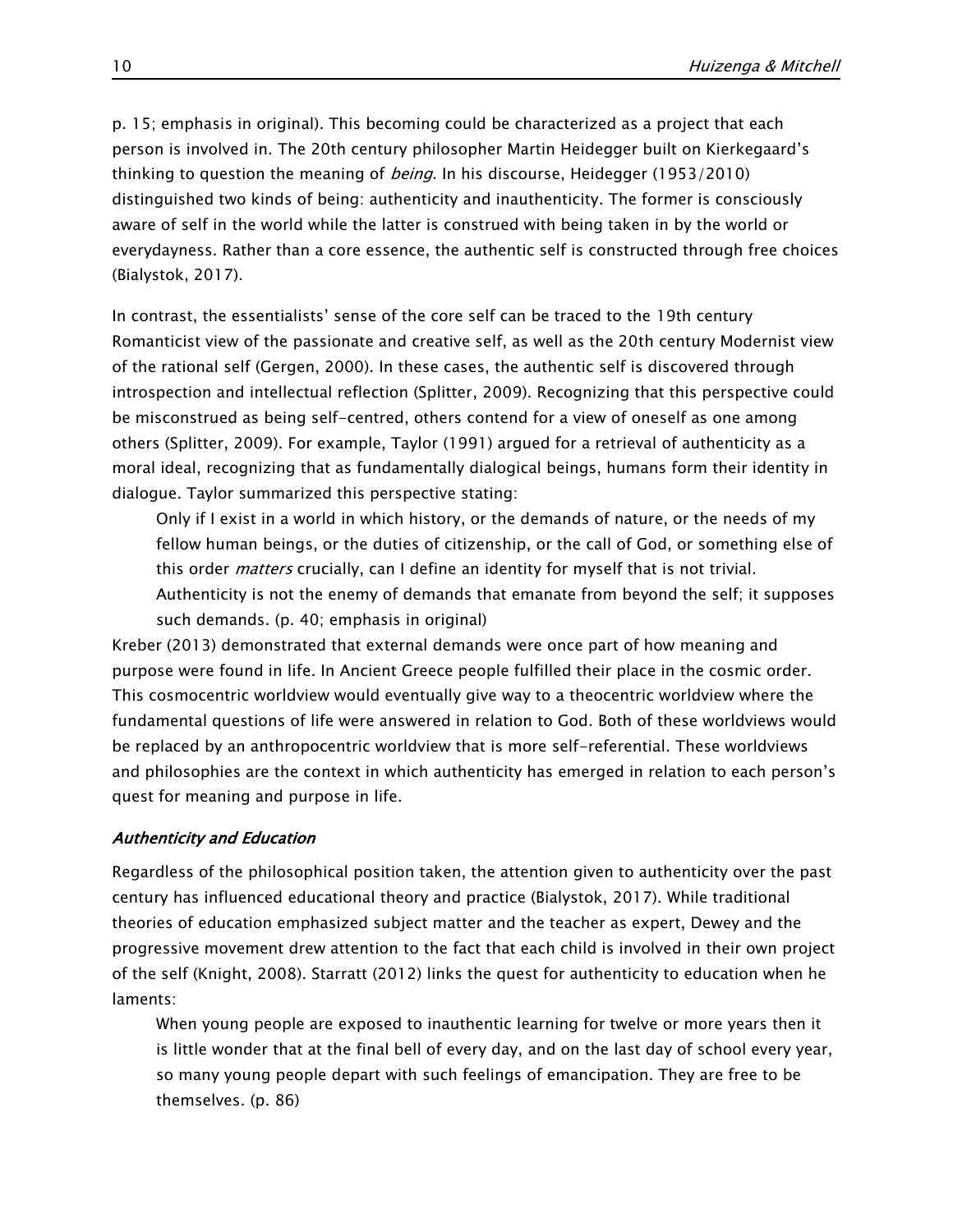p. 15; emphasis in original). This becoming could be characterized as a project that each person is involved in. The 20th century philosopher Martin Heidegger built on Kierkegaard's thinking to question the meaning of *being*. In his discourse, Heidegger (1953/2010) distinguished two kinds of being: authenticity and inauthenticity. The former is consciously aware of self in the world while the latter is construed with being taken in by the world or everydayness. Rather than a core essence, the authentic self is constructed through free choices (Bialystok, 2017).

In contrast, the essentialists' sense of the core self can be traced to the 19th century Romanticist view of the passionate and creative self, as well as the 20th century Modernist view of the rational self (Gergen, 2000). In these cases, the authentic self is discovered through introspection and intellectual reflection (Splitter, 2009). Recognizing that this perspective could be misconstrued as being self-centred, others contend for a view of oneself as one among others (Splitter, 2009). For example, Taylor (1991) argued for a retrieval of authenticity as a moral ideal, recognizing that as fundamentally dialogical beings, humans form their identity in dialogue. Taylor summarized this perspective stating:

Only if I exist in a world in which history, or the demands of nature, or the needs of my fellow human beings, or the duties of citizenship, or the call of God, or something else of this order *matters* crucially, can I define an identity for myself that is not trivial. Authenticity is not the enemy of demands that emanate from beyond the self; it supposes such demands. (p. 40; emphasis in original)

Kreber (2013) demonstrated that external demands were once part of how meaning and purpose were found in life. In Ancient Greece people fulfilled their place in the cosmic order. This cosmocentric worldview would eventually give way to a theocentric worldview where the fundamental questions of life were answered in relation to God. Both of these worldviews would be replaced by an anthropocentric worldview that is more self-referential. These worldviews and philosophies are the context in which authenticity has emerged in relation to each person's quest for meaning and purpose in life.

# Authenticity and Education

Regardless of the philosophical position taken, the attention given to authenticity over the past century has influenced educational theory and practice (Bialystok, 2017). While traditional theories of education emphasized subject matter and the teacher as expert, Dewey and the progressive movement drew attention to the fact that each child is involved in their own project of the self (Knight, 2008). Starratt (2012) links the quest for authenticity to education when he laments:

When young people are exposed to inauthentic learning for twelve or more years then it is little wonder that at the final bell of every day, and on the last day of school every year, so many young people depart with such feelings of emancipation. They are free to be themselves. (p. 86)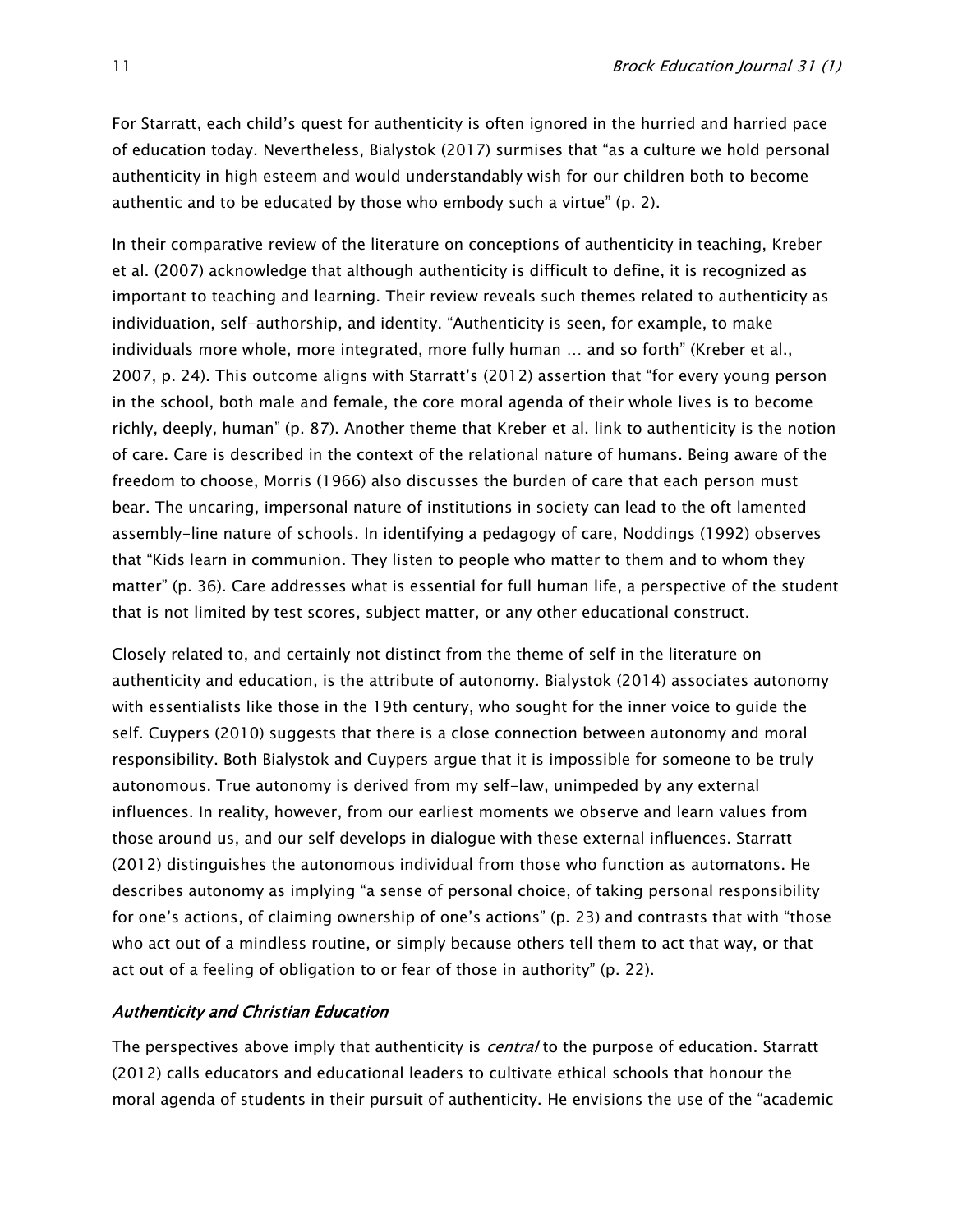For Starratt, each child's quest for authenticity is often ignored in the hurried and harried pace of education today. Nevertheless, Bialystok (2017) surmises that "as a culture we hold personal authenticity in high esteem and would understandably wish for our children both to become authentic and to be educated by those who embody such a virtue" (p. 2).

In their comparative review of the literature on conceptions of authenticity in teaching, Kreber et al. (2007) acknowledge that although authenticity is difficult to define, it is recognized as important to teaching and learning. Their review reveals such themes related to authenticity as individuation, self-authorship, and identity. "Authenticity is seen, for example, to make individuals more whole, more integrated, more fully human … and so forth" (Kreber et al., 2007, p. 24). This outcome aligns with Starratt's (2012) assertion that "for every young person in the school, both male and female, the core moral agenda of their whole lives is to become richly, deeply, human" (p. 87). Another theme that Kreber et al. link to authenticity is the notion of care. Care is described in the context of the relational nature of humans. Being aware of the freedom to choose, Morris (1966) also discusses the burden of care that each person must bear. The uncaring, impersonal nature of institutions in society can lead to the oft lamented assembly-line nature of schools. In identifying a pedagogy of care, Noddings (1992) observes that "Kids learn in communion. They listen to people who matter to them and to whom they matter" (p. 36). Care addresses what is essential for full human life, a perspective of the student that is not limited by test scores, subject matter, or any other educational construct.

Closely related to, and certainly not distinct from the theme of self in the literature on authenticity and education, is the attribute of autonomy. Bialystok (2014) associates autonomy with essentialists like those in the 19th century, who sought for the inner voice to guide the self. Cuypers (2010) suggests that there is a close connection between autonomy and moral responsibility. Both Bialystok and Cuypers argue that it is impossible for someone to be truly autonomous. True autonomy is derived from my self-law, unimpeded by any external influences. In reality, however, from our earliest moments we observe and learn values from those around us, and our self develops in dialogue with these external influences. Starratt (2012) distinguishes the autonomous individual from those who function as automatons. He describes autonomy as implying "a sense of personal choice, of taking personal responsibility for one's actions, of claiming ownership of one's actions" (p. 23) and contrasts that with "those who act out of a mindless routine, or simply because others tell them to act that way, or that act out of a feeling of obligation to or fear of those in authority" (p. 22).

# Authenticity and Christian Education

The perspectives above imply that authenticity is *central* to the purpose of education. Starratt (2012) calls educators and educational leaders to cultivate ethical schools that honour the moral agenda of students in their pursuit of authenticity. He envisions the use of the "academic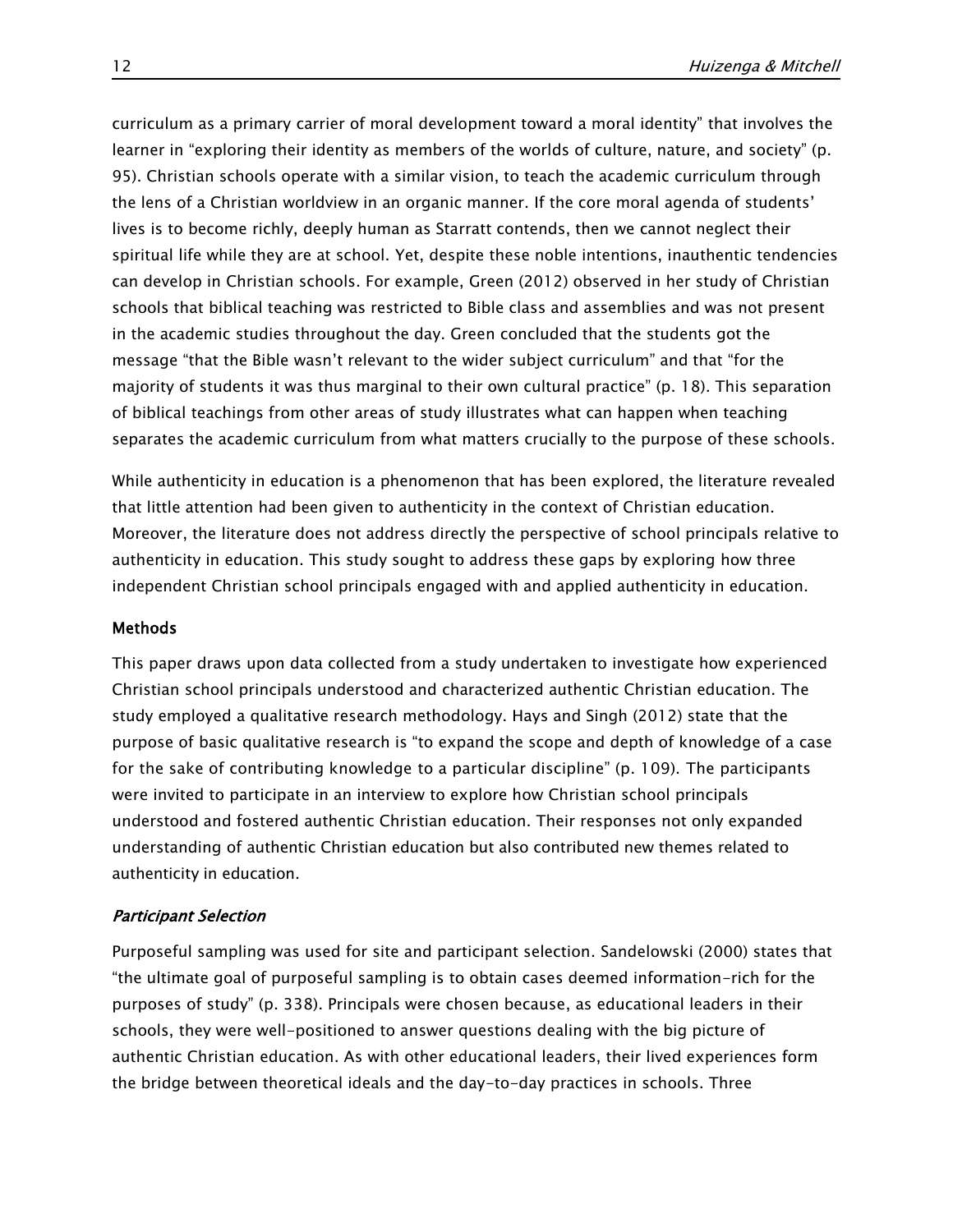curriculum as a primary carrier of moral development toward a moral identity" that involves the learner in "exploring their identity as members of the worlds of culture, nature, and society" (p. 95). Christian schools operate with a similar vision, to teach the academic curriculum through the lens of a Christian worldview in an organic manner. If the core moral agenda of students' lives is to become richly, deeply human as Starratt contends, then we cannot neglect their spiritual life while they are at school. Yet, despite these noble intentions, inauthentic tendencies can develop in Christian schools. For example, Green (2012) observed in her study of Christian schools that biblical teaching was restricted to Bible class and assemblies and was not present in the academic studies throughout the day. Green concluded that the students got the message "that the Bible wasn't relevant to the wider subject curriculum" and that "for the majority of students it was thus marginal to their own cultural practice" (p. 18). This separation of biblical teachings from other areas of study illustrates what can happen when teaching separates the academic curriculum from what matters crucially to the purpose of these schools.

While authenticity in education is a phenomenon that has been explored, the literature revealed that little attention had been given to authenticity in the context of Christian education. Moreover, the literature does not address directly the perspective of school principals relative to authenticity in education. This study sought to address these gaps by exploring how three independent Christian school principals engaged with and applied authenticity in education.

# Methods

This paper draws upon data collected from a study undertaken to investigate how experienced Christian school principals understood and characterized authentic Christian education. The study employed a qualitative research methodology. Hays and Singh (2012) state that the purpose of basic qualitative research is "to expand the scope and depth of knowledge of a case for the sake of contributing knowledge to a particular discipline" (p. 109). The participants were invited to participate in an interview to explore how Christian school principals understood and fostered authentic Christian education. Their responses not only expanded understanding of authentic Christian education but also contributed new themes related to authenticity in education.

# Participant Selection

Purposeful sampling was used for site and participant selection. Sandelowski (2000) states that "the ultimate goal of purposeful sampling is to obtain cases deemed information-rich for the purposes of study" (p. 338). Principals were chosen because, as educational leaders in their schools, they were well-positioned to answer questions dealing with the big picture of authentic Christian education. As with other educational leaders, their lived experiences form the bridge between theoretical ideals and the day-to-day practices in schools. Three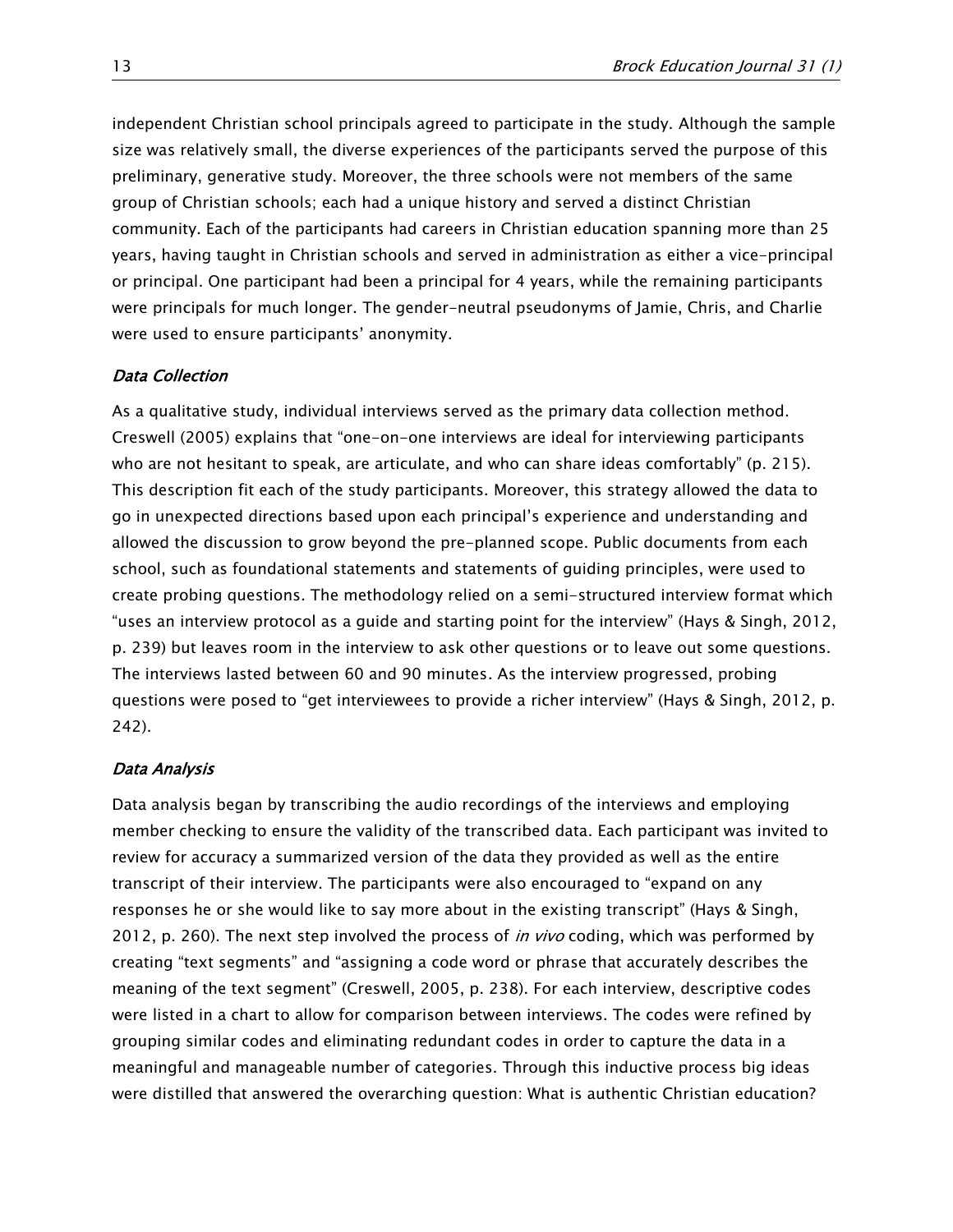independent Christian school principals agreed to participate in the study. Although the sample size was relatively small, the diverse experiences of the participants served the purpose of this preliminary, generative study. Moreover, the three schools were not members of the same group of Christian schools; each had a unique history and served a distinct Christian community. Each of the participants had careers in Christian education spanning more than 25 years, having taught in Christian schools and served in administration as either a vice-principal or principal. One participant had been a principal for 4 years, while the remaining participants were principals for much longer. The gender-neutral pseudonyms of Jamie, Chris, and Charlie were used to ensure participants' anonymity.

# Data Collection

As a qualitative study, individual interviews served as the primary data collection method. Creswell (2005) explains that "one-on-one interviews are ideal for interviewing participants who are not hesitant to speak, are articulate, and who can share ideas comfortably" (p. 215). This description fit each of the study participants. Moreover, this strategy allowed the data to go in unexpected directions based upon each principal's experience and understanding and allowed the discussion to grow beyond the pre-planned scope. Public documents from each school, such as foundational statements and statements of guiding principles, were used to create probing questions. The methodology relied on a semi-structured interview format which "uses an interview protocol as a guide and starting point for the interview" (Hays & Singh, 2012, p. 239) but leaves room in the interview to ask other questions or to leave out some questions. The interviews lasted between 60 and 90 minutes. As the interview progressed, probing questions were posed to "get interviewees to provide a richer interview" (Hays & Singh, 2012, p. 242).

#### Data Analysis

Data analysis began by transcribing the audio recordings of the interviews and employing member checking to ensure the validity of the transcribed data. Each participant was invited to review for accuracy a summarized version of the data they provided as well as the entire transcript of their interview. The participants were also encouraged to "expand on any responses he or she would like to say more about in the existing transcript" (Hays & Singh, 2012, p. 260). The next step involved the process of *in vivo* coding, which was performed by creating "text segments" and "assigning a code word or phrase that accurately describes the meaning of the text segment" (Creswell, 2005, p. 238). For each interview, descriptive codes were listed in a chart to allow for comparison between interviews. The codes were refined by grouping similar codes and eliminating redundant codes in order to capture the data in a meaningful and manageable number of categories. Through this inductive process big ideas were distilled that answered the overarching question: What is authentic Christian education?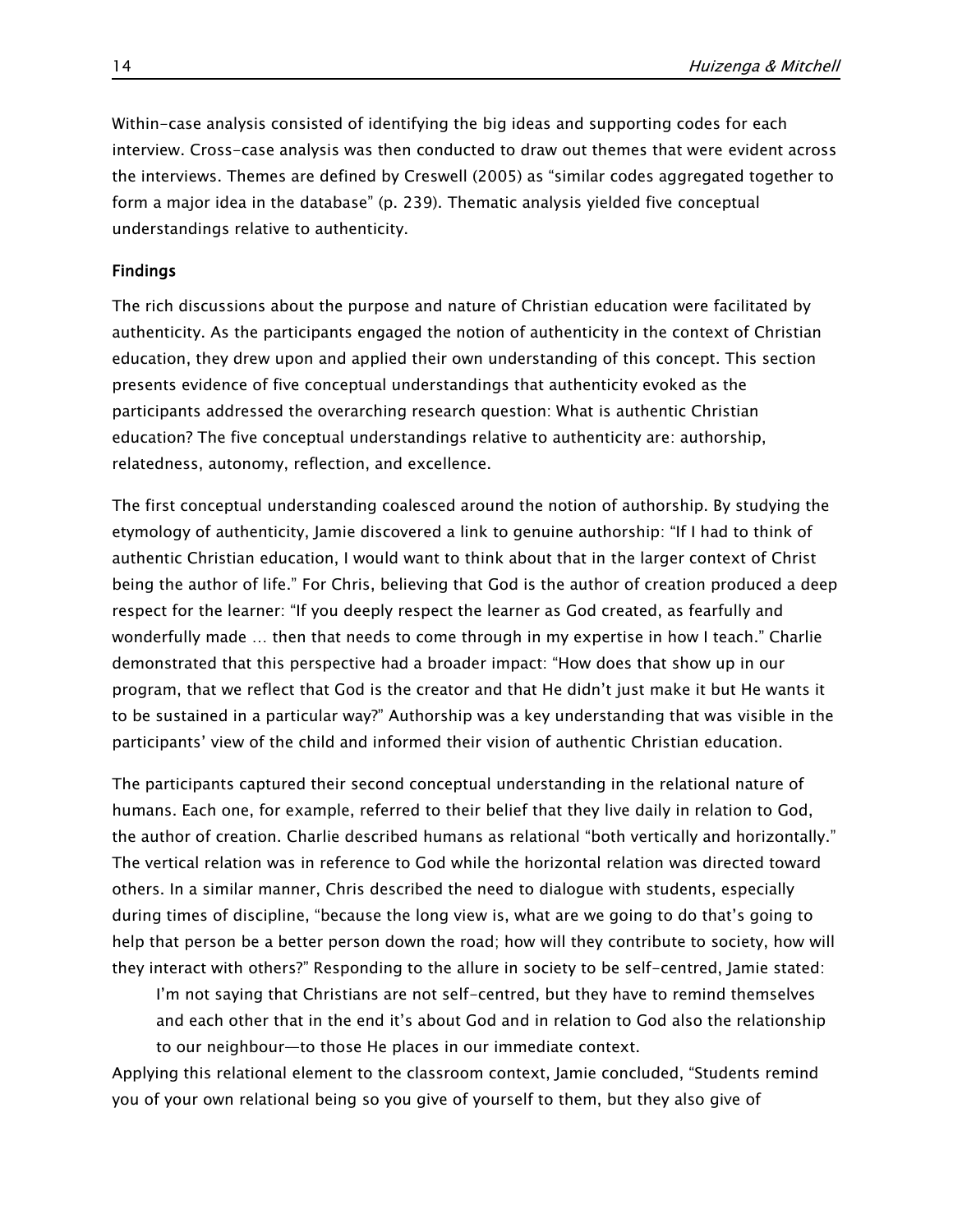Within-case analysis consisted of identifying the big ideas and supporting codes for each interview. Cross-case analysis was then conducted to draw out themes that were evident across the interviews. Themes are defined by Creswell (2005) as "similar codes aggregated together to form a major idea in the database" (p. 239). Thematic analysis yielded five conceptual understandings relative to authenticity.

# Findings

The rich discussions about the purpose and nature of Christian education were facilitated by authenticity. As the participants engaged the notion of authenticity in the context of Christian education, they drew upon and applied their own understanding of this concept. This section presents evidence of five conceptual understandings that authenticity evoked as the participants addressed the overarching research question: What is authentic Christian education? The five conceptual understandings relative to authenticity are: authorship, relatedness, autonomy, reflection, and excellence.

The first conceptual understanding coalesced around the notion of authorship. By studying the etymology of authenticity, Jamie discovered a link to genuine authorship: "If I had to think of authentic Christian education, I would want to think about that in the larger context of Christ being the author of life." For Chris, believing that God is the author of creation produced a deep respect for the learner: "If you deeply respect the learner as God created, as fearfully and wonderfully made … then that needs to come through in my expertise in how I teach." Charlie demonstrated that this perspective had a broader impact: "How does that show up in our program, that we reflect that God is the creator and that He didn't just make it but He wants it to be sustained in a particular way?" Authorship was a key understanding that was visible in the participants' view of the child and informed their vision of authentic Christian education.

The participants captured their second conceptual understanding in the relational nature of humans. Each one, for example, referred to their belief that they live daily in relation to God, the author of creation. Charlie described humans as relational "both vertically and horizontally." The vertical relation was in reference to God while the horizontal relation was directed toward others. In a similar manner, Chris described the need to dialogue with students, especially during times of discipline, "because the long view is, what are we going to do that's going to help that person be a better person down the road; how will they contribute to society, how will they interact with others?" Responding to the allure in society to be self-centred, Jamie stated:

I'm not saying that Christians are not self-centred, but they have to remind themselves and each other that in the end it's about God and in relation to God also the relationship to our neighbour—to those He places in our immediate context.

Applying this relational element to the classroom context, Jamie concluded, "Students remind you of your own relational being so you give of yourself to them, but they also give of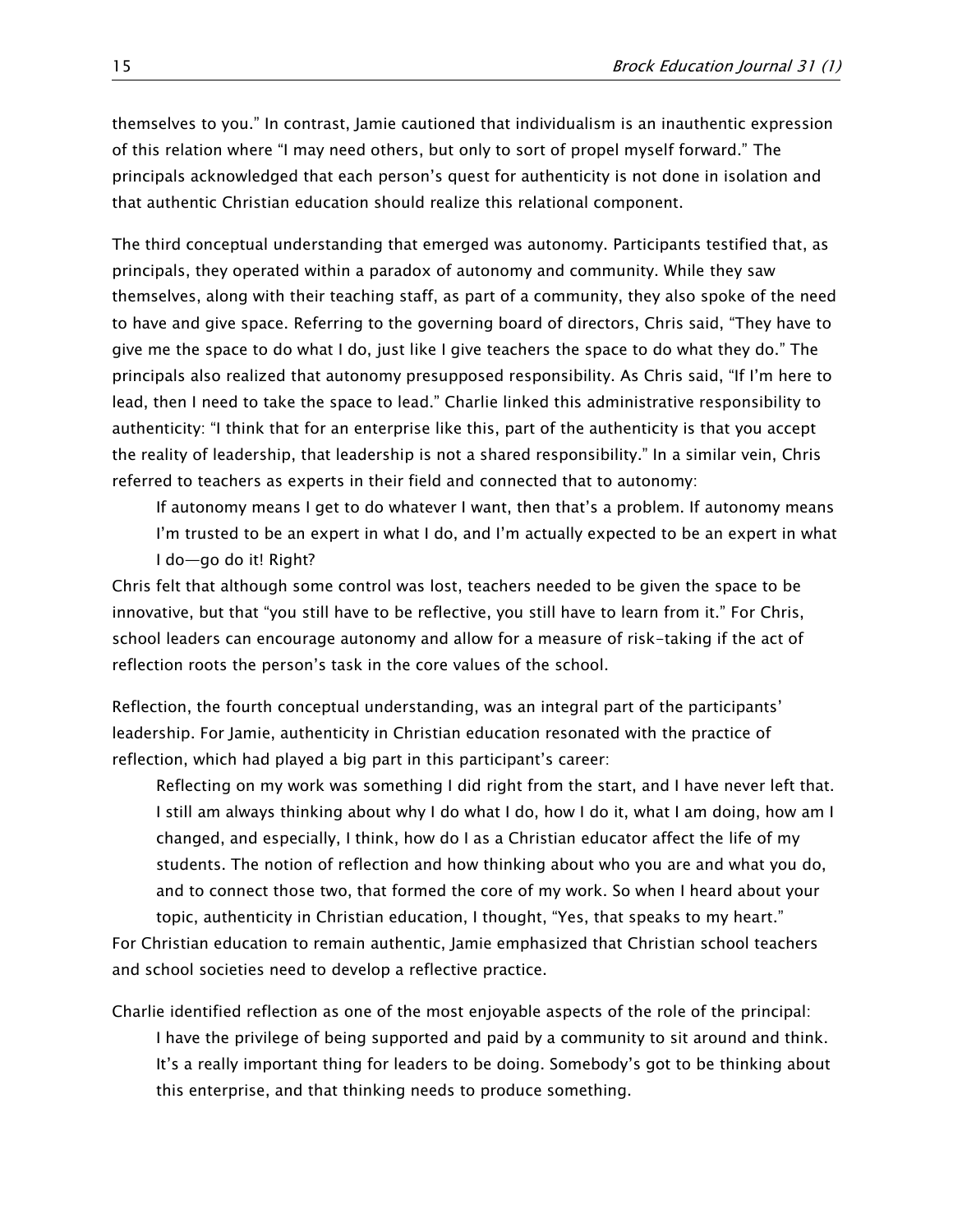themselves to you." In contrast, Jamie cautioned that individualism is an inauthentic expression of this relation where "I may need others, but only to sort of propel myself forward." The principals acknowledged that each person's quest for authenticity is not done in isolation and that authentic Christian education should realize this relational component.

The third conceptual understanding that emerged was autonomy. Participants testified that, as principals, they operated within a paradox of autonomy and community. While they saw themselves, along with their teaching staff, as part of a community, they also spoke of the need to have and give space. Referring to the governing board of directors, Chris said, "They have to give me the space to do what I do, just like I give teachers the space to do what they do." The principals also realized that autonomy presupposed responsibility. As Chris said, "If I'm here to lead, then I need to take the space to lead." Charlie linked this administrative responsibility to authenticity: "I think that for an enterprise like this, part of the authenticity is that you accept the reality of leadership, that leadership is not a shared responsibility." In a similar vein, Chris referred to teachers as experts in their field and connected that to autonomy:

If autonomy means I get to do whatever I want, then that's a problem. If autonomy means I'm trusted to be an expert in what I do, and I'm actually expected to be an expert in what I do—go do it! Right?

Chris felt that although some control was lost, teachers needed to be given the space to be innovative, but that "you still have to be reflective, you still have to learn from it." For Chris, school leaders can encourage autonomy and allow for a measure of risk-taking if the act of reflection roots the person's task in the core values of the school.

Reflection, the fourth conceptual understanding, was an integral part of the participants' leadership. For Jamie, authenticity in Christian education resonated with the practice of reflection, which had played a big part in this participant's career:

Reflecting on my work was something I did right from the start, and I have never left that. I still am always thinking about why I do what I do, how I do it, what I am doing, how am I changed, and especially, I think, how do I as a Christian educator affect the life of my students. The notion of reflection and how thinking about who you are and what you do, and to connect those two, that formed the core of my work. So when I heard about your topic, authenticity in Christian education, I thought, "Yes, that speaks to my heart."

For Christian education to remain authentic, Jamie emphasized that Christian school teachers and school societies need to develop a reflective practice.

Charlie identified reflection as one of the most enjoyable aspects of the role of the principal: I have the privilege of being supported and paid by a community to sit around and think. It's a really important thing for leaders to be doing. Somebody's got to be thinking about

this enterprise, and that thinking needs to produce something.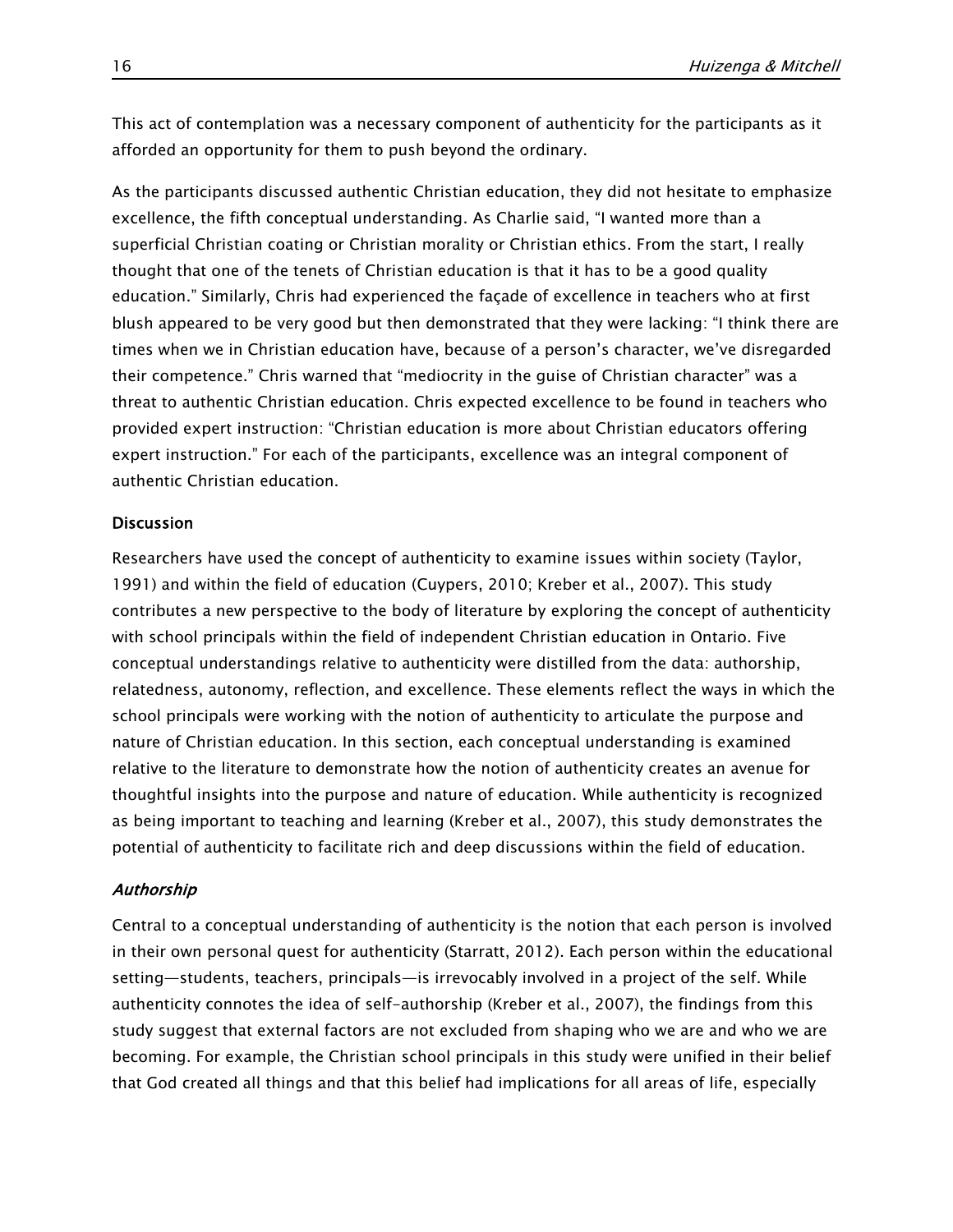This act of contemplation was a necessary component of authenticity for the participants as it afforded an opportunity for them to push beyond the ordinary.

As the participants discussed authentic Christian education, they did not hesitate to emphasize excellence, the fifth conceptual understanding. As Charlie said, "I wanted more than a superficial Christian coating or Christian morality or Christian ethics. From the start, I really thought that one of the tenets of Christian education is that it has to be a good quality education." Similarly, Chris had experienced the façade of excellence in teachers who at first blush appeared to be very good but then demonstrated that they were lacking: "I think there are times when we in Christian education have, because of a person's character, we've disregarded their competence." Chris warned that "mediocrity in the guise of Christian character" was a threat to authentic Christian education. Chris expected excellence to be found in teachers who provided expert instruction: "Christian education is more about Christian educators offering expert instruction." For each of the participants, excellence was an integral component of authentic Christian education.

# **Discussion**

Researchers have used the concept of authenticity to examine issues within society (Taylor, 1991) and within the field of education (Cuypers, 2010; Kreber et al., 2007). This study contributes a new perspective to the body of literature by exploring the concept of authenticity with school principals within the field of independent Christian education in Ontario. Five conceptual understandings relative to authenticity were distilled from the data: authorship, relatedness, autonomy, reflection, and excellence. These elements reflect the ways in which the school principals were working with the notion of authenticity to articulate the purpose and nature of Christian education. In this section, each conceptual understanding is examined relative to the literature to demonstrate how the notion of authenticity creates an avenue for thoughtful insights into the purpose and nature of education. While authenticity is recognized as being important to teaching and learning (Kreber et al., 2007), this study demonstrates the potential of authenticity to facilitate rich and deep discussions within the field of education.

#### Authorship

Central to a conceptual understanding of authenticity is the notion that each person is involved in their own personal quest for authenticity (Starratt, 2012). Each person within the educational setting—students, teachers, principals—is irrevocably involved in a project of the self. While authenticity connotes the idea of self-authorship (Kreber et al., 2007), the findings from this study suggest that external factors are not excluded from shaping who we are and who we are becoming. For example, the Christian school principals in this study were unified in their belief that God created all things and that this belief had implications for all areas of life, especially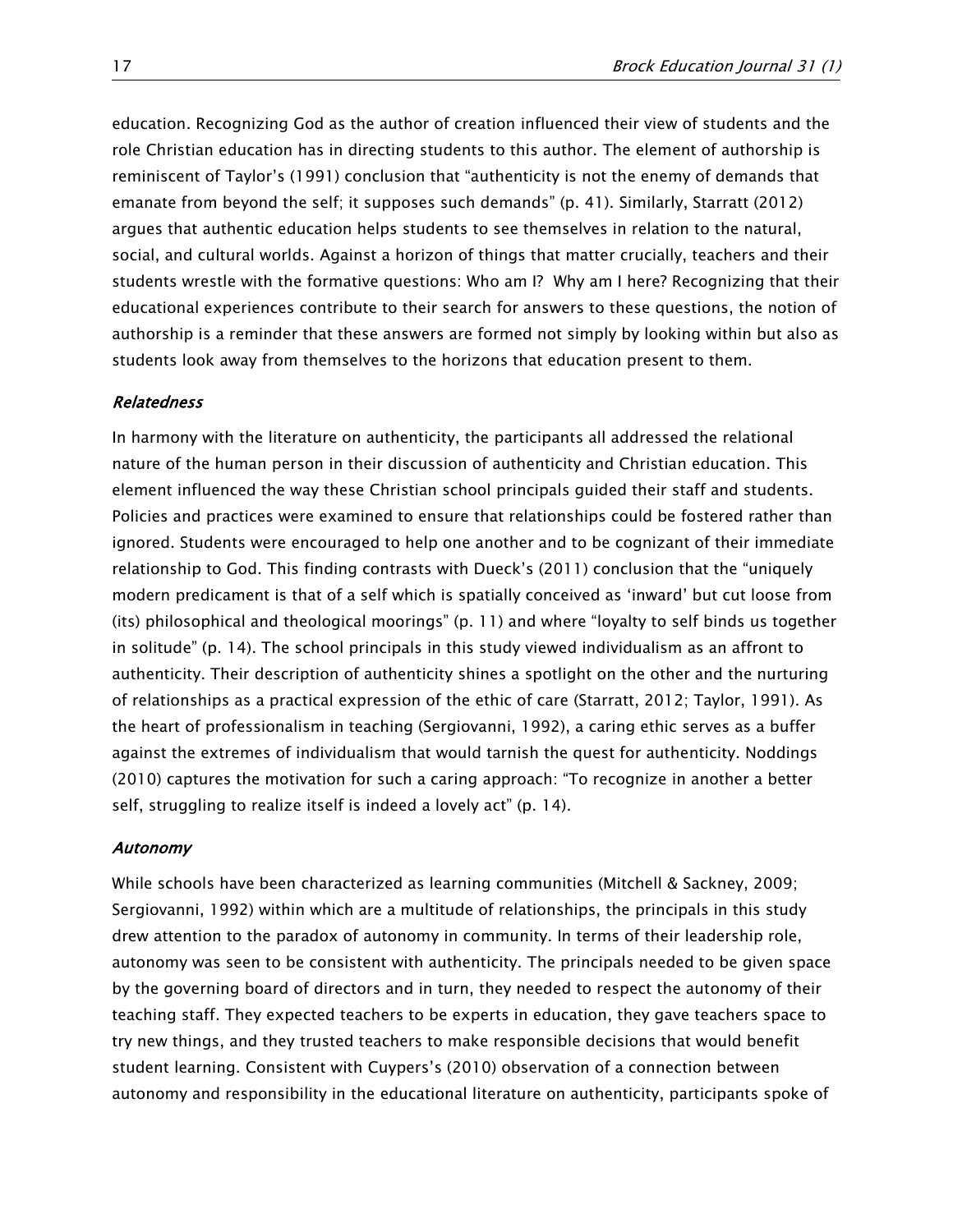education. Recognizing God as the author of creation influenced their view of students and the role Christian education has in directing students to this author. The element of authorship is reminiscent of Taylor's (1991) conclusion that "authenticity is not the enemy of demands that emanate from beyond the self; it supposes such demands" (p. 41). Similarly, Starratt (2012) argues that authentic education helps students to see themselves in relation to the natural, social, and cultural worlds. Against a horizon of things that matter crucially, teachers and their students wrestle with the formative questions: Who am I? Why am I here? Recognizing that their educational experiences contribute to their search for answers to these questions, the notion of authorship is a reminder that these answers are formed not simply by looking within but also as students look away from themselves to the horizons that education present to them.

#### Relatedness

In harmony with the literature on authenticity, the participants all addressed the relational nature of the human person in their discussion of authenticity and Christian education. This element influenced the way these Christian school principals guided their staff and students. Policies and practices were examined to ensure that relationships could be fostered rather than ignored. Students were encouraged to help one another and to be cognizant of their immediate relationship to God. This finding contrasts with Dueck's (2011) conclusion that the "uniquely modern predicament is that of a self which is spatially conceived as 'inward' but cut loose from (its) philosophical and theological moorings" (p. 11) and where "loyalty to self binds us together in solitude" (p. 14). The school principals in this study viewed individualism as an affront to authenticity. Their description of authenticity shines a spotlight on the other and the nurturing of relationships as a practical expression of the ethic of care (Starratt, 2012; Taylor, 1991). As the heart of professionalism in teaching (Sergiovanni, 1992), a caring ethic serves as a buffer against the extremes of individualism that would tarnish the quest for authenticity. Noddings (2010) captures the motivation for such a caring approach: "To recognize in another a better self, struggling to realize itself is indeed a lovely act" (p. 14).

#### Autonomy

While schools have been characterized as learning communities (Mitchell & Sackney, 2009; Sergiovanni, 1992) within which are a multitude of relationships, the principals in this study drew attention to the paradox of autonomy in community. In terms of their leadership role, autonomy was seen to be consistent with authenticity. The principals needed to be given space by the governing board of directors and in turn, they needed to respect the autonomy of their teaching staff. They expected teachers to be experts in education, they gave teachers space to try new things, and they trusted teachers to make responsible decisions that would benefit student learning. Consistent with Cuypers's (2010) observation of a connection between autonomy and responsibility in the educational literature on authenticity, participants spoke of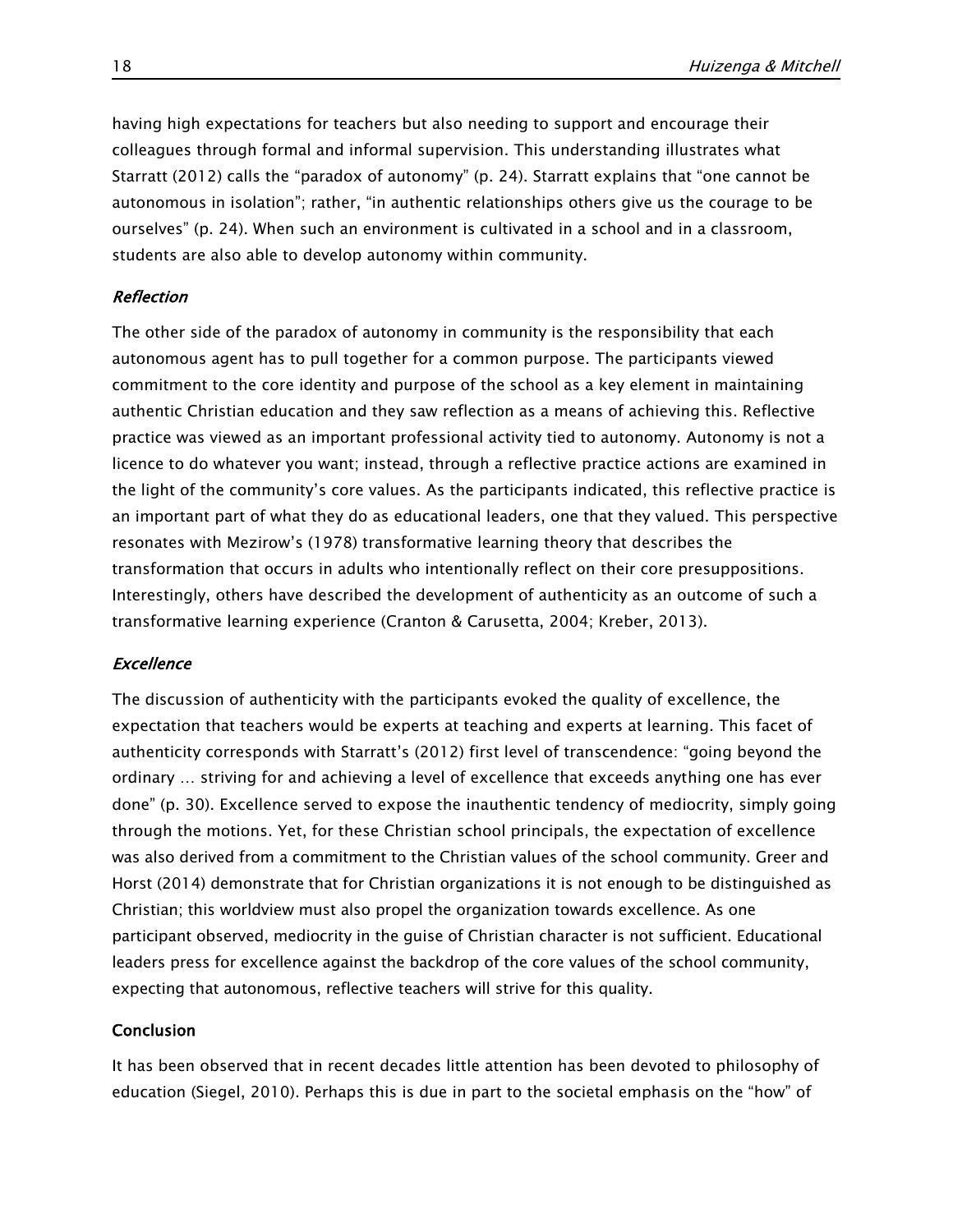having high expectations for teachers but also needing to support and encourage their colleagues through formal and informal supervision. This understanding illustrates what Starratt (2012) calls the "paradox of autonomy" (p. 24). Starratt explains that "one cannot be autonomous in isolation"; rather, "in authentic relationships others give us the courage to be ourselves" (p. 24). When such an environment is cultivated in a school and in a classroom, students are also able to develop autonomy within community.

# Reflection

The other side of the paradox of autonomy in community is the responsibility that each autonomous agent has to pull together for a common purpose. The participants viewed commitment to the core identity and purpose of the school as a key element in maintaining authentic Christian education and they saw reflection as a means of achieving this. Reflective practice was viewed as an important professional activity tied to autonomy. Autonomy is not a licence to do whatever you want; instead, through a reflective practice actions are examined in the light of the community's core values. As the participants indicated, this reflective practice is an important part of what they do as educational leaders, one that they valued. This perspective resonates with Mezirow's (1978) transformative learning theory that describes the transformation that occurs in adults who intentionally reflect on their core presuppositions. Interestingly, others have described the development of authenticity as an outcome of such a transformative learning experience (Cranton & Carusetta, 2004; Kreber, 2013).

# **Excellence**

The discussion of authenticity with the participants evoked the quality of excellence, the expectation that teachers would be experts at teaching and experts at learning. This facet of authenticity corresponds with Starratt's (2012) first level of transcendence: "going beyond the ordinary … striving for and achieving a level of excellence that exceeds anything one has ever done" (p. 30). Excellence served to expose the inauthentic tendency of mediocrity, simply going through the motions. Yet, for these Christian school principals, the expectation of excellence was also derived from a commitment to the Christian values of the school community. Greer and Horst (2014) demonstrate that for Christian organizations it is not enough to be distinguished as Christian; this worldview must also propel the organization towards excellence. As one participant observed, mediocrity in the guise of Christian character is not sufficient. Educational leaders press for excellence against the backdrop of the core values of the school community, expecting that autonomous, reflective teachers will strive for this quality.

# Conclusion

It has been observed that in recent decades little attention has been devoted to philosophy of education (Siegel, 2010). Perhaps this is due in part to the societal emphasis on the "how" of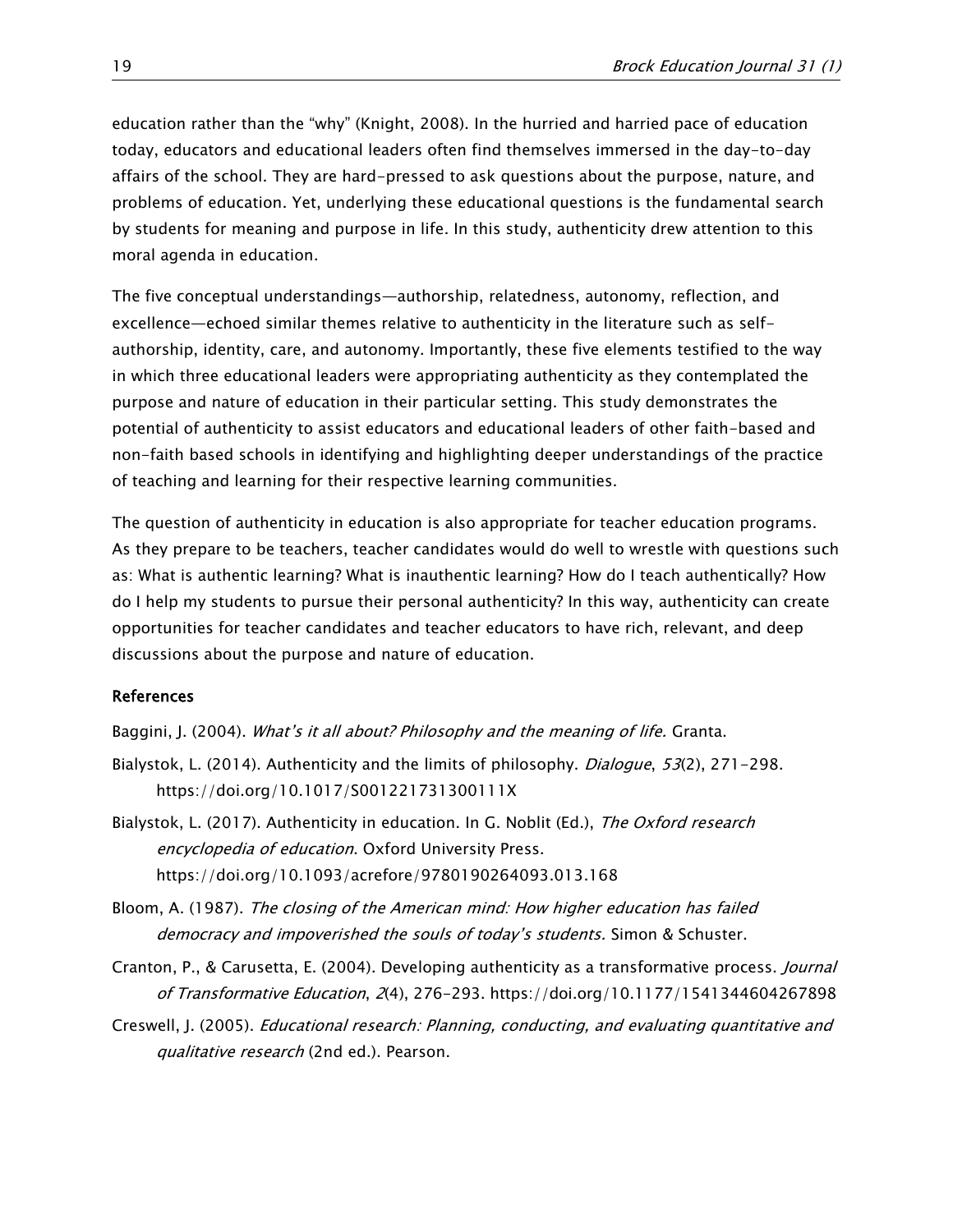education rather than the "why" (Knight, 2008). In the hurried and harried pace of education today, educators and educational leaders often find themselves immersed in the day-to-day affairs of the school. They are hard-pressed to ask questions about the purpose, nature, and problems of education. Yet, underlying these educational questions is the fundamental search by students for meaning and purpose in life. In this study, authenticity drew attention to this moral agenda in education.

The five conceptual understandings—authorship, relatedness, autonomy, reflection, and excellence—echoed similar themes relative to authenticity in the literature such as selfauthorship, identity, care, and autonomy. Importantly, these five elements testified to the way in which three educational leaders were appropriating authenticity as they contemplated the purpose and nature of education in their particular setting. This study demonstrates the potential of authenticity to assist educators and educational leaders of other faith-based and non-faith based schools in identifying and highlighting deeper understandings of the practice of teaching and learning for their respective learning communities.

The question of authenticity in education is also appropriate for teacher education programs. As they prepare to be teachers, teacher candidates would do well to wrestle with questions such as: What is authentic learning? What is inauthentic learning? How do I teach authentically? How do I help my students to pursue their personal authenticity? In this way, authenticity can create opportunities for teacher candidates and teacher educators to have rich, relevant, and deep discussions about the purpose and nature of education.

# References

Baggini, J. (2004). What's it all about? Philosophy and the meaning of life. Granta.

- Bialystok, L. (2014). Authenticity and the limits of philosophy. *Dialoque*, 53(2), 271-298. <https://doi.org/10.1017/S001221731300111X>
- Bialystok, L. (2017). Authenticity in education. In G. Noblit (Ed.), The Oxford research encyclopedia of education. Oxford University Press. <https://doi.org/10.1093/acrefore/9780190264093.013.168>
- Bloom, A. (1987). The closing of the American mind: How higher education has failed democracy and impoverished the souls of today's students. Simon & Schuster.
- Cranton, P., & Carusetta, E. (2004). Developing authenticity as a transformative process. Journal of Transformative Education, 2(4), 276-293. <https://doi.org/10.1177/1541344604267898>
- Creswell, J. (2005). Educational research: Planning, conducting, and evaluating quantitative and qualitative research (2nd ed.). Pearson.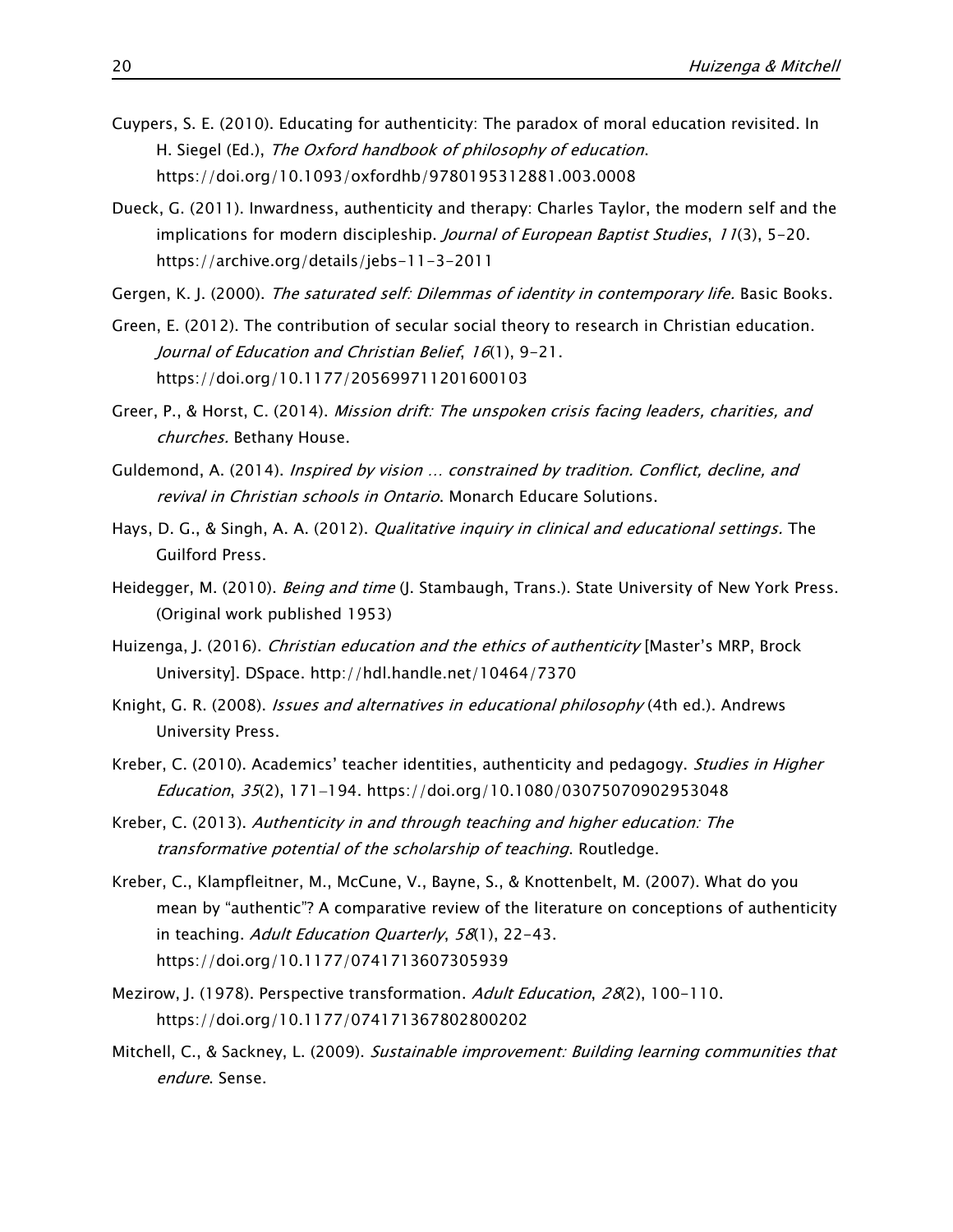- Cuypers, S. E. (2010). Educating for authenticity: The paradox of moral education revisited. In H. Siegel (Ed.), The Oxford handbook of philosophy of education. <https://doi.org/10.1093/oxfordhb/9780195312881.003.0008>
- Dueck, G. (2011). Inwardness, authenticity and therapy: Charles Taylor, the modern self and the implications for modern discipleship. Journal of European Baptist Studies, 11(3), 5-20. <https://archive.org/details/jebs-11-3-2011>
- Gergen, K. J. (2000). The saturated self: Dilemmas of identity in contemporary life. Basic Books.
- Green, E. (2012). The contribution of secular social theory to research in Christian education. Journal of Education and Christian Belief, 16(1), 9-21. <https://doi.org/10.1177/205699711201600103>
- Greer, P., & Horst, C. (2014). Mission drift: The unspoken crisis facing leaders, charities, and churches. Bethany House.
- Guldemond, A. (2014). Inspired by vision … constrained by tradition. Conflict, decline, and revival in Christian schools in Ontario. Monarch Educare Solutions.
- Hays, D. G., & Singh, A. A. (2012). *Qualitative inquiry in clinical and educational settings.* The Guilford Press.
- Heidegger, M. (2010). Being and time (J. Stambaugh, Trans.). State University of New York Press. (Original work published 1953)
- Huizenga, J. (2016). Christian education and the ethics of authenticity [Master's MRP, Brock University]. DSpace.<http://hdl.handle.net/10464/7370>
- Knight, G. R. (2008). *Issues and alternatives in educational philosophy* (4th ed.). Andrews University Press.
- Kreber, C. (2010). Academics' teacher identities, authenticity and pedagogy. *Studies in Higher* Education, 35(2), 171−194.<https://doi.org/10.1080/03075070902953048>
- Kreber, C. (2013). Authenticity in and through teaching and higher education: The transformative potential of the scholarship of teaching. Routledge.
- Kreber, C., Klampfleitner, M., McCune, V., Bayne, S., & Knottenbelt, M. (2007). What do you mean by "authentic"? A comparative review of the literature on conceptions of authenticity in teaching. Adult Education Quarterly, 58(1), 22-43. <https://doi.org/10.1177/0741713607305939>
- Mezirow, J. (1978). Perspective transformation. Adult Education, 28(2), 100-110. <https://doi.org/10.1177/074171367802800202>
- Mitchell, C., & Sackney, L. (2009). Sustainable improvement: Building learning communities that endure. Sense.